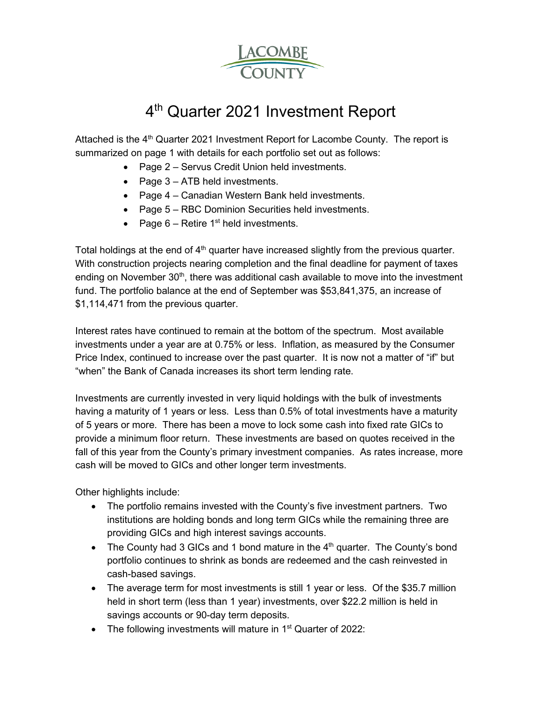

# 4<sup>th</sup> Quarter 2021 Investment Report

Attached is the  $4<sup>th</sup>$  Quarter 2021 Investment Report for Lacombe County. The report is summarized on page 1 with details for each portfolio set out as follows:

- Page 2 Servus Credit Union held investments.
- Page 3 ATB held investments.
- Page 4 Canadian Western Bank held investments.
- Page 5 RBC Dominion Securities held investments.
- Page  $6$  Retire 1<sup>st</sup> held investments.

Total holdings at the end of  $4<sup>th</sup>$  quarter have increased slightly from the previous quarter. With construction projects nearing completion and the final deadline for payment of taxes ending on November  $30<sup>th</sup>$ , there was additional cash available to move into the investment fund. The portfolio balance at the end of September was \$53,841,375, an increase of \$1,114,471 from the previous quarter.

Interest rates have continued to remain at the bottom of the spectrum. Most available investments under a year are at 0.75% or less. Inflation, as measured by the Consumer Price Index, continued to increase over the past quarter. It is now not a matter of "if" but "when" the Bank of Canada increases its short term lending rate.

Investments are currently invested in very liquid holdings with the bulk of investments having a maturity of 1 years or less. Less than 0.5% of total investments have a maturity of 5 years or more. There has been a move to lock some cash into fixed rate GICs to provide a minimum floor return. These investments are based on quotes received in the fall of this year from the County's primary investment companies. As rates increase, more cash will be moved to GICs and other longer term investments.

Other highlights include:

- The portfolio remains invested with the County's five investment partners. Two institutions are holding bonds and long term GICs while the remaining three are providing GICs and high interest savings accounts.
- The County had 3 GICs and 1 bond mature in the  $4<sup>th</sup>$  quarter. The County's bond portfolio continues to shrink as bonds are redeemed and the cash reinvested in cash-based savings.
- The average term for most investments is still 1 year or less. Of the \$35.7 million held in short term (less than 1 year) investments, over \$22.2 million is held in savings accounts or 90-day term deposits.
- The following investments will mature in  $1<sup>st</sup>$  Quarter of 2022: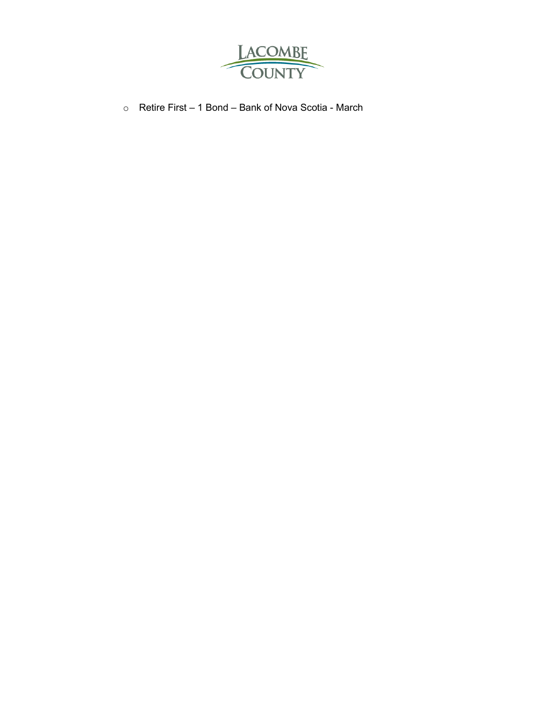

o Retire First – 1 Bond – Bank of Nova Scotia - March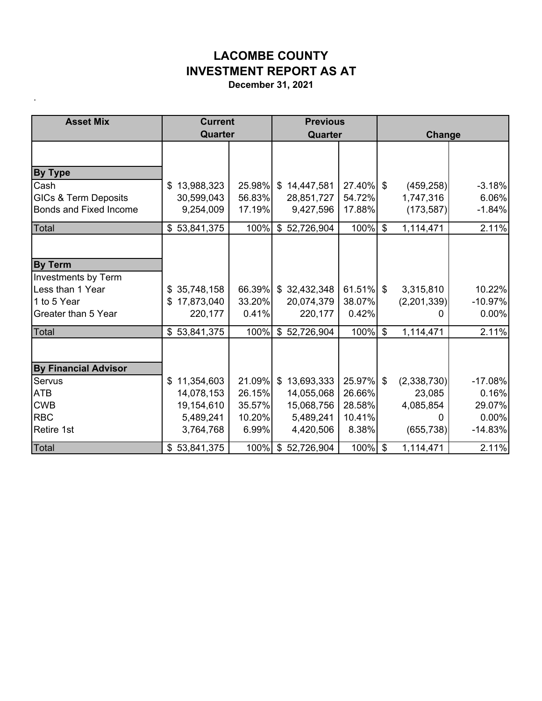## **LACOMBE COUNTY INVESTMENT REPORT AS AT**

**December 31, 2021**

.

| <b>Asset Mix</b>                | <b>Current</b>               |              | <b>Previous</b>    |              |                           |             |           |  |
|---------------------------------|------------------------------|--------------|--------------------|--------------|---------------------------|-------------|-----------|--|
|                                 | Quarter                      |              | Quarter            |              |                           | Change      |           |  |
|                                 |                              |              |                    |              |                           |             |           |  |
| <b>By Type</b>                  |                              |              |                    |              |                           |             |           |  |
| Cash                            | 13,988,323<br>\$             | $25.98\%$ \$ | 14,447,581         | 27.40%       | \$                        | (459, 258)  | $-3.18%$  |  |
| <b>GICs &amp; Term Deposits</b> | 30,599,043                   | 56.83%       | 28,851,727         | 54.72%       |                           | 1,747,316   | 6.06%     |  |
| <b>Bonds and Fixed Income</b>   | 9,254,009                    | 17.19%       | 9,427,596          | 17.88%       |                           | (173, 587)  | $-1.84%$  |  |
| Total                           | \$53,841,375                 | 100%         | \$52,726,904       | 100%         | $\boldsymbol{\mathsf{S}}$ | 1,114,471   | 2.11%     |  |
|                                 |                              |              |                    |              |                           |             |           |  |
| <b>By Term</b>                  |                              |              |                    |              |                           |             |           |  |
| Investments by Term             |                              |              |                    |              |                           |             |           |  |
| Less than 1 Year                | 35,748,158<br>\$             | 66.39%       | \$32,432,348       | $61.51\%$ \$ |                           | 3,315,810   | 10.22%    |  |
| 1 to 5 Year                     | 17,873,040<br>\$             | 33.20%       | 20,074,379         | 38.07%       |                           | (2,201,339) | $-10.97%$ |  |
| Greater than 5 Year             | 220,177                      | 0.41%        | 220,177            | 0.42%        |                           | 0           | 0.00%     |  |
| <b>Total</b>                    | 53,841,375<br>$\mathfrak{L}$ | 100%         | \$52,726,904       | 100%         | $\boldsymbol{\mathsf{S}}$ | 1,114,471   | 2.11%     |  |
|                                 |                              |              |                    |              |                           |             |           |  |
| <b>By Financial Advisor</b>     |                              |              |                    |              |                           |             |           |  |
| Servus                          | 11,354,603<br>\$             | $21.09\%$ \$ | 13,693,333         | 25.97%       | \$                        | (2,338,730) | $-17.08%$ |  |
| <b>ATB</b>                      | 14,078,153                   | 26.15%       | 14,055,068         | 26.66%       |                           | 23,085      | 0.16%     |  |
| <b>CWB</b>                      | 19,154,610                   | 35.57%       | 15,068,756         | 28.58%       |                           | 4,085,854   | 29.07%    |  |
| <b>RBC</b>                      | 5,489,241                    | 10.20%       | 5,489,241          | 10.41%       |                           |             | 0.00%     |  |
| <b>Retire 1st</b>               | 3,764,768                    | 6.99%        | 4,420,506          | 8.38%        |                           | (655, 738)  | $-14.83%$ |  |
| Total                           | \$53,841,375                 |              | 100% \$ 52,726,904 | 100%         | $\mathfrak{L}$            | 1,114,471   | 2.11%     |  |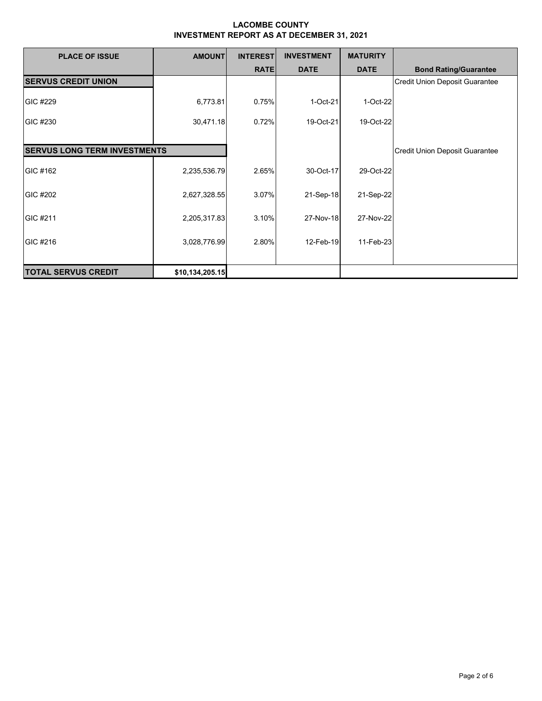| <b>PLACE OF ISSUE</b>               | <b>AMOUNT</b>   | <b>INTEREST</b> | <b>INVESTMENT</b> | <b>MATURITY</b> |                                       |
|-------------------------------------|-----------------|-----------------|-------------------|-----------------|---------------------------------------|
|                                     |                 | <b>RATE</b>     | <b>DATE</b>       | <b>DATE</b>     | <b>Bond Rating/Guarantee</b>          |
| <b>SERVUS CREDIT UNION</b>          |                 |                 |                   |                 | Credit Union Deposit Guarantee        |
| GIC #229                            | 6,773.81        | 0.75%           | 1-Oct-21          | 1-Oct-22        |                                       |
| GIC #230                            | 30,471.18       | 0.72%           | 19-Oct-21         | 19-Oct-22       |                                       |
|                                     |                 |                 |                   |                 |                                       |
| <b>SERVUS LONG TERM INVESTMENTS</b> |                 |                 |                   |                 | <b>Credit Union Deposit Guarantee</b> |
| GIC #162                            | 2,235,536.79    | 2.65%           | 30-Oct-17         | 29-Oct-22       |                                       |
| GIC #202                            | 2,627,328.55    | 3.07%           | 21-Sep-18         | 21-Sep-22       |                                       |
| GIC #211                            | 2,205,317.83    | 3.10%           | 27-Nov-18         | 27-Nov-22       |                                       |
| GIC #216                            | 3,028,776.99    | 2.80%           | 12-Feb-19         | 11-Feb-23       |                                       |
| <b>TOTAL SERVUS CREDIT</b>          | \$10,134,205.15 |                 |                   |                 |                                       |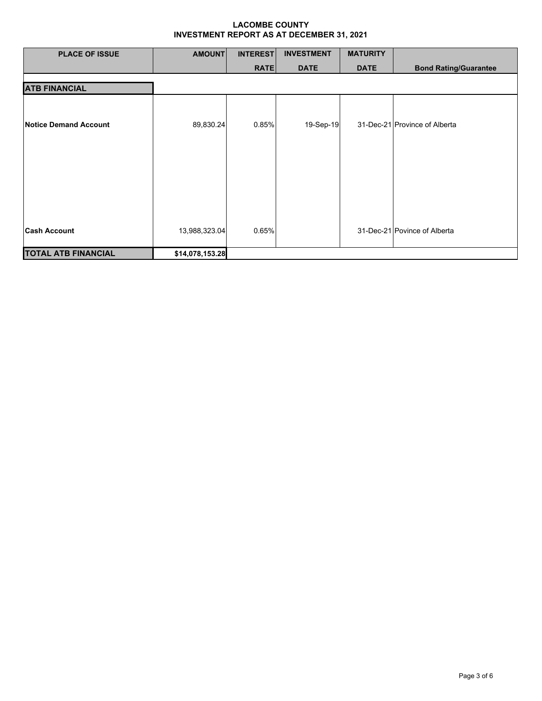| <b>PLACE OF ISSUE</b>      | <b>AMOUNT</b>   | <b>INTEREST</b> | <b>INVESTMENT</b> | <b>MATURITY</b> |                               |
|----------------------------|-----------------|-----------------|-------------------|-----------------|-------------------------------|
|                            |                 | <b>RATE</b>     | <b>DATE</b>       | <b>DATE</b>     | <b>Bond Rating/Guarantee</b>  |
| <b>ATB FINANCIAL</b>       |                 |                 |                   |                 |                               |
| Notice Demand Account      | 89,830.24       | 0.85%           | 19-Sep-19         |                 | 31-Dec-21 Province of Alberta |
| <b>Cash Account</b>        | 13,988,323.04   | 0.65%           |                   |                 | 31-Dec-21 Povince of Alberta  |
|                            |                 |                 |                   |                 |                               |
| <b>TOTAL ATB FINANCIAL</b> | \$14,078,153.28 |                 |                   |                 |                               |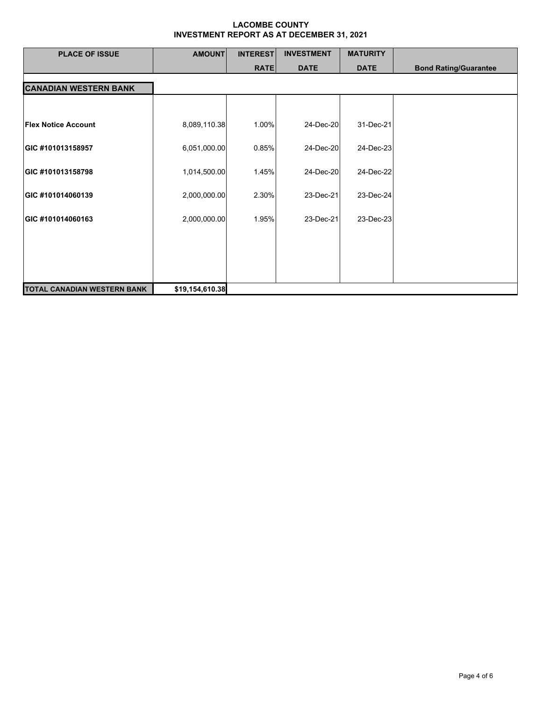| <b>PLACE OF ISSUE</b>              | <b>AMOUNT</b>   | <b>INTEREST</b> | <b>INVESTMENT</b> | <b>MATURITY</b> |                              |
|------------------------------------|-----------------|-----------------|-------------------|-----------------|------------------------------|
|                                    |                 | <b>RATE</b>     | <b>DATE</b>       | <b>DATE</b>     | <b>Bond Rating/Guarantee</b> |
| <b>CANADIAN WESTERN BANK</b>       |                 |                 |                   |                 |                              |
|                                    |                 |                 |                   |                 |                              |
| <b>Flex Notice Account</b>         | 8,089,110.38    | 1.00%           | 24-Dec-20         | 31-Dec-21       |                              |
| GIC #101013158957                  | 6,051,000.00    | 0.85%           | 24-Dec-20         | 24-Dec-23       |                              |
| GIC #101013158798                  | 1,014,500.00    | 1.45%           | 24-Dec-20         | 24-Dec-22       |                              |
| GIC #101014060139                  | 2,000,000.00    | 2.30%           | 23-Dec-21         | 23-Dec-24       |                              |
| GIC #101014060163                  | 2,000,000.00    | 1.95%           | 23-Dec-21         | 23-Dec-23       |                              |
|                                    |                 |                 |                   |                 |                              |
|                                    |                 |                 |                   |                 |                              |
|                                    |                 |                 |                   |                 |                              |
| <b>TOTAL CANADIAN WESTERN BANK</b> | \$19,154,610.38 |                 |                   |                 |                              |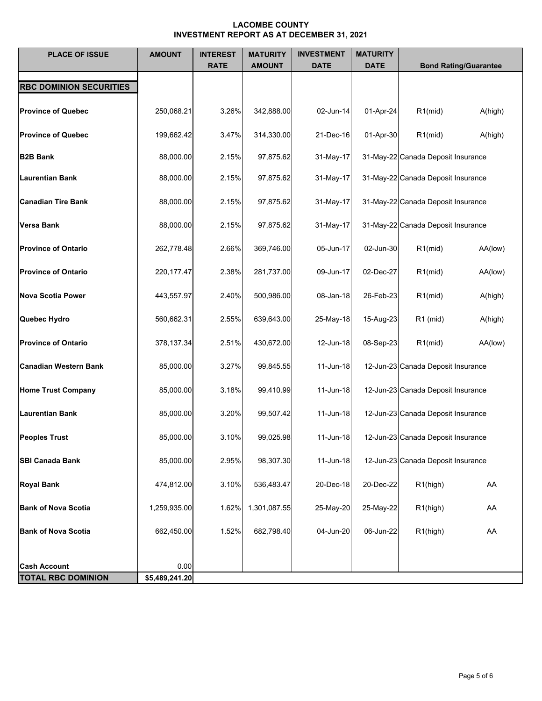| <b>PLACE OF ISSUE</b>          | <b>AMOUNT</b>  | <b>INTEREST</b><br><b>RATE</b> | <b>MATURITY</b><br><b>AMOUNT</b> | <b>INVESTMENT</b><br><b>DATE</b> | <b>MATURITY</b><br><b>DATE</b> | <b>Bond Rating/Guarantee</b>       |
|--------------------------------|----------------|--------------------------------|----------------------------------|----------------------------------|--------------------------------|------------------------------------|
| <b>RBC DOMINION SECURITIES</b> |                |                                |                                  |                                  |                                |                                    |
| <b>Province of Quebec</b>      | 250,068.21     | 3.26%                          | 342,888.00                       | 02-Jun-14                        | 01-Apr-24                      | $R1$ (mid)<br>A(high)              |
| <b>Province of Quebec</b>      | 199,662.42     | 3.47%                          | 314,330.00                       | 21-Dec-16                        | 01-Apr-30                      | $R1$ (mid)<br>A(high)              |
| <b>B2B Bank</b>                | 88,000.00      | 2.15%                          | 97,875.62                        | 31-May-17                        |                                | 31-May-22 Canada Deposit Insurance |
| <b>Laurentian Bank</b>         | 88,000.00      | 2.15%                          | 97,875.62                        | 31-May-17                        |                                | 31-May-22 Canada Deposit Insurance |
| <b>Canadian Tire Bank</b>      | 88,000.00      | 2.15%                          | 97,875.62                        | 31-May-17                        |                                | 31-May-22 Canada Deposit Insurance |
| <b>Versa Bank</b>              | 88,000.00      | 2.15%                          | 97,875.62                        | 31-May-17                        |                                | 31-May-22 Canada Deposit Insurance |
| <b>Province of Ontario</b>     | 262,778.48     | 2.66%                          | 369,746.00                       | 05-Jun-17                        | 02-Jun-30                      | $R1$ (mid)<br>AA(low)              |
| <b>Province of Ontario</b>     | 220, 177. 47   | 2.38%                          | 281,737.00                       | 09-Jun-17                        | 02-Dec-27                      | $R1$ (mid)<br>AA(low)              |
| <b>Nova Scotia Power</b>       | 443,557.97     | 2.40%                          | 500,986.00                       | 08-Jan-18                        | 26-Feb-23                      | $R1$ (mid)<br>A(high)              |
| Quebec Hydro                   | 560,662.31     | 2.55%                          | 639,643.00                       | 25-May-18                        | 15-Aug-23                      | $R1$ (mid)<br>A(high)              |
| <b>Province of Ontario</b>     | 378,137.34     | 2.51%                          | 430,672.00                       | 12-Jun-18                        | 08-Sep-23                      | $R1$ (mid)<br>AA(low)              |
|                                |                |                                |                                  |                                  |                                |                                    |
| <b>Canadian Western Bank</b>   | 85,000.00      | 3.27%                          | 99,845.55                        | 11-Jun-18                        |                                | 12-Jun-23 Canada Deposit Insurance |
| <b>Home Trust Company</b>      | 85,000.00      | 3.18%                          | 99,410.99                        | 11-Jun-18                        |                                | 12-Jun-23 Canada Deposit Insurance |
| <b>Laurentian Bank</b>         | 85,000.00      | 3.20%                          | 99,507.42                        | 11-Jun-18                        |                                | 12-Jun-23 Canada Deposit Insurance |
| <b>Peoples Trust</b>           | 85,000.00      | 3.10%                          | 99,025.98                        | 11-Jun-18                        |                                | 12-Jun-23 Canada Deposit Insurance |
| <b>SBI Canada Bank</b>         | 85,000.00      | 2.95%                          | 98,307.30                        | 11-Jun-18                        |                                | 12-Jun-23 Canada Deposit Insurance |
| <b>Royal Bank</b>              | 474,812.00     | 3.10%                          | 536,483.47                       | 20-Dec-18                        | 20-Dec-22                      | R1(high)<br>AA                     |
| <b>Bank of Nova Scotia</b>     | 1,259,935.00   | 1.62%                          | 1,301,087.55                     | 25-May-20                        | 25-May-22                      | R1(high)<br>AA                     |
| <b>Bank of Nova Scotia</b>     | 662,450.00     | 1.52%                          | 682,798.40                       | 04-Jun-20                        | 06-Jun-22                      | R1(high)<br>AA                     |
|                                |                |                                |                                  |                                  |                                |                                    |
| <b>Cash Account</b>            | 0.00           |                                |                                  |                                  |                                |                                    |
| <b>TOTAL RBC DOMINION</b>      | \$5,489,241.20 |                                |                                  |                                  |                                |                                    |